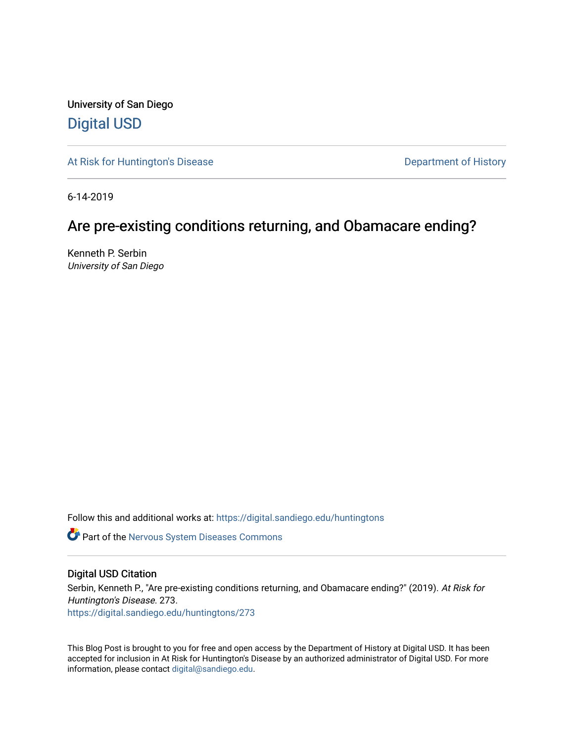University of San Diego [Digital USD](https://digital.sandiego.edu/)

[At Risk for Huntington's Disease](https://digital.sandiego.edu/huntingtons) **Department of History** Department of History

6-14-2019

# Are pre-existing conditions returning, and Obamacare ending?

Kenneth P. Serbin University of San Diego

Follow this and additional works at: [https://digital.sandiego.edu/huntingtons](https://digital.sandiego.edu/huntingtons?utm_source=digital.sandiego.edu%2Fhuntingtons%2F273&utm_medium=PDF&utm_campaign=PDFCoverPages)

**Part of the [Nervous System Diseases Commons](http://network.bepress.com/hgg/discipline/928?utm_source=digital.sandiego.edu%2Fhuntingtons%2F273&utm_medium=PDF&utm_campaign=PDFCoverPages)** 

### Digital USD Citation

Serbin, Kenneth P., "Are pre-existing conditions returning, and Obamacare ending?" (2019). At Risk for Huntington's Disease. 273. [https://digital.sandiego.edu/huntingtons/273](https://digital.sandiego.edu/huntingtons/273?utm_source=digital.sandiego.edu%2Fhuntingtons%2F273&utm_medium=PDF&utm_campaign=PDFCoverPages)

This Blog Post is brought to you for free and open access by the Department of History at Digital USD. It has been accepted for inclusion in At Risk for Huntington's Disease by an authorized administrator of Digital USD. For more information, please contact [digital@sandiego.edu.](mailto:digital@sandiego.edu)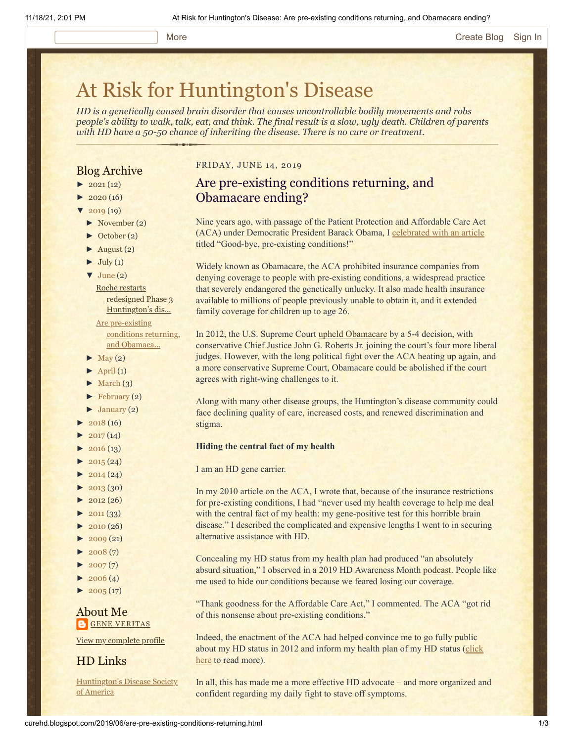#### More **[Create Blog](https://www.blogger.com/home#create) [Sign In](https://www.blogger.com/)**

# [At Risk for Huntington's Disease](http://curehd.blogspot.com/)

*HD is a genetically caused brain disorder that causes uncontrollable bodily movements and robs people's ability to walk, talk, eat, and think. The final result is a slow, ugly death. Children of parents with HD have a 50-50 chance of inheriting the disease. There is no cure or treatment.*

## Blog Archive

- $\blacktriangleright$  [2021](http://curehd.blogspot.com/2021/)(12)
- $2020(16)$  $2020(16)$
- $2019(19)$  $2019(19)$
- [►](javascript:void(0)) [November](http://curehd.blogspot.com/2019/11/) (2)
- [►](javascript:void(0)) [October](http://curehd.blogspot.com/2019/10/) (2)
- $\blacktriangleright$  [August](http://curehd.blogspot.com/2019/08/) (2)
- $\blacktriangleright$  [July](http://curehd.blogspot.com/2019/07/) (1)
- $\blacktriangledown$  [June](http://curehd.blogspot.com/2019/06/) (2)

Roche restarts redesigned Phase 3 [Huntington's](http://curehd.blogspot.com/2019/06/roche-restarts-redesigned-phase-3.html) dis...

Are [pre-existing](http://curehd.blogspot.com/2019/06/are-pre-existing-conditions-returning.html) conditions returning, and Obamaca...

- $\blacktriangleright$  [May](http://curehd.blogspot.com/2019/05/) (2)
- $\blacktriangleright$  [April](http://curehd.blogspot.com/2019/04/) (1)
- $\blacktriangleright$  [March](http://curehd.blogspot.com/2019/03/) (3)
- [►](javascript:void(0)) [February](http://curehd.blogspot.com/2019/02/) (2)
- $\blacktriangleright$  [January](http://curehd.blogspot.com/2019/01/) (2)
- $\blacktriangleright$  [2018](http://curehd.blogspot.com/2018/) (16)
- $2017(14)$  $2017(14)$
- $2016(13)$  $2016(13)$
- $2015(24)$  $2015(24)$
- $2014(24)$  $2014(24)$
- $\blacktriangleright$  [2013](http://curehd.blogspot.com/2013/) (30)
- $\blacktriangleright$  [2012](http://curehd.blogspot.com/2012/) (26)
- $\blacktriangleright$  [2011](http://curehd.blogspot.com/2011/) (33)
- $-2010(26)$  $-2010(26)$  $-2010(26)$
- $\blacktriangleright$  [2009](http://curehd.blogspot.com/2009/) (21)
- $\blacktriangleright$  [2008](http://curehd.blogspot.com/2008/) $(7)$
- $\blacktriangleright$  [2007](http://curehd.blogspot.com/2007/) $(7)$
- $\blacktriangleright$  [2006](http://curehd.blogspot.com/2006/) (4)
- $\blacktriangleright$  [2005](http://curehd.blogspot.com/2005/) (17)

#### About Me **GENE [VERITAS](https://www.blogger.com/profile/10911736205741688185)**

View my [complete](https://www.blogger.com/profile/10911736205741688185) profile

# HD Links

[Huntington's](http://www.hdsa.org/) Disease Society of America

#### FRIDAY, JUNE 14, 2019

# Are pre-existing conditions returning, and Obamacare ending?

Nine years ago, with passage of the Patient Protection and Affordable Care Act (ACA) under Democratic President Barack Obama, I [celebrated with an article](http://curehd.blogspot.com/2010/03/good-bye-pre-existing-conditions.html) titled "Good-bye, pre-existing conditions!"

Widely known as Obamacare, the ACA prohibited insurance companies from denying coverage to people with pre-existing conditions, a widespread practice that severely endangered the genetically unlucky. It also made health insurance available to millions of people previously unable to obtain it, and it extended family coverage for children up to age 26.

In 2012, the U.S. Supreme Court [upheld Obamacare](https://www.nytimes.com/2012/06/29/us/supreme-court-lets-health-law-largely-stand.html) by a 5-4 decision, with conservative Chief Justice John G. Roberts Jr. joining the court's four more liberal judges. However, with the long political fight over the ACA heating up again, and a more conservative Supreme Court, Obamacare could be abolished if the court agrees with right-wing challenges to it.

Along with many other disease groups, the Huntington's disease community could face declining quality of care, increased costs, and renewed discrimination and stigma.

#### **Hiding the central fact of my health**

#### I am an HD gene carrier.

In my 2010 article on the ACA, I wrote that, because of the insurance restrictions for pre-existing conditions, I had "never used my health coverage to help me deal with the central fact of my health: my gene-positive test for this horrible brain disease." I described the complicated and expensive lengths I went to in securing alternative assistance with HD.

Concealing my HD status from my health plan had produced "an absolutely absurd situation," I observed in a 2019 HD Awareness Month [podcast](http://www.blogtalkradio.com/help4hd/2019/05/01/gene-veritas). People like me used to hide our conditions because we feared losing our coverage.

"Thank goodness for the Affordable Care Act," I commented. The ACA "got rid of this nonsense about pre-existing conditions."

Indeed, the enactment of the ACA had helped convince me to go fully public [about my HD status in 2012 and inform my health plan of my HD status \(click](http://curehd.blogspot.com/2013/10/the-end-of-fear-and-exclusion-informing.html) here to read more).

In all, this has made me a more effective HD advocate – and more organized and confident regarding my daily fight to stave off symptoms.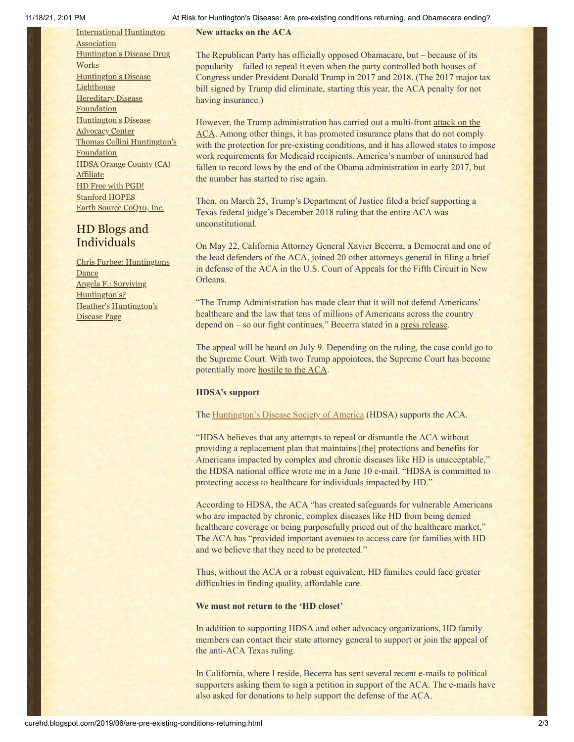[International](http://www.huntington-assoc.com/) Huntington **Association** [Huntington's](http://hddrugworks.org/) Disease Drug **Works** [Huntington's](http://www.hdlighthouse.org/) Disease **Lighthouse [Hereditary](http://www.hdfoundation.org/) Disease Foundation** [Huntington's](http://www.hdac.org/) Disease Advocacy Center Thomas [Cellini Huntington's](http://www.ourtchfoundation.org/) Foundation HDSA Orange County (CA) **[Affiliate](http://www.hdsaoc.org/)** HD Free with [PGD!](http://www.hdfreewithpgd.com/) [Stanford](http://www.stanford.edu/group/hopes/) HOPES Earth Source [CoQ10,](http://www.escoq10.com/) Inc.

# HD Blogs and Individuals

Chris Furbee: [Huntingtons](http://www.huntingtonsdance.org/) Dance Angela F.: Surviving [Huntington's?](http://survivinghuntingtons.blogspot.com/) Heather's [Huntington's](http://heatherdugdale.angelfire.com/) Disease Page

#### 11/18/21, 2:01 PM At Risk for Huntington's Disease: Are pre-existing conditions returning, and Obamacare ending?

**New attacks on the ACA**

The Republican Party has officially opposed Obamacare, but – because of its popularity – failed to repeal it even when the party controlled both houses of Congress under President Donald Trump in 2017 and 2018. (The 2017 major tax bill signed by Trump did eliminate, starting this year, the ACA penalty for not having insurance.)

However, the Trump administration has carried out a multi-front attack on the [ACA. Among other things, it has promoted insurance plans that do not comply](https://www.vox.com/policy-and-politics/2019/3/25/18281788/doj-obamacare-unconstitutional-trump) with the protection for pre-existing conditions, and it has allowed states to impose work requirements for Medicaid recipients. America's number of uninsured had fallen to record lows by the end of the Obama administration in early 2017, but the number has started to rise again.

Then, on March 25, Trump's Department of Justice filed a brief supporting a Texas federal judge's December 2018 ruling that the entire ACA was unconstitutional.

On May 22, California Attorney General Xavier Becerra, a Democrat and one of the lead defenders of the ACA, joined 20 other attorneys general in filing a brief in defense of the ACA in the U.S. Court of Appeals for the Fifth Circuit in New Orleans.

"The Trump Administration has made clear that it will not defend Americans' healthcare and the law that tens of millions of Americans across the country depend on – so our fight continues," Becerra stated in a [press release.](https://oag.ca.gov/news/press-releases/attorney-general-becerra-continues-fight-protect-affordable-care-act-leads-0)

The appeal will be heard on July 9. Depending on the ruling, the case could go to the Supreme Court. With two Trump appointees, the Supreme Court has become potentially more **hostile to the ACA**.

#### **HDSA's support**

#### The **Huntington's Disease Society of America** (HDSA) supports the ACA.

"HDSA believes that any attempts to repeal or dismantle the ACA without providing a replacement plan that maintains [the] protections and benefits for Americans impacted by complex and chronic diseases like HD is unacceptable," the HDSA national office wrote me in a June 10 e-mail. "HDSA is committed to protecting access to healthcare for individuals impacted by HD."

According to HDSA, the ACA "has created safeguards for vulnerable Americans who are impacted by chronic, complex diseases like HD from being denied healthcare coverage or being purposefully priced out of the healthcare market." The ACA has "provided important avenues to access care for families with HD and we believe that they need to be protected."

Thus, without the ACA or a robust equivalent, HD families could face greater difficulties in finding quality, affordable care.

#### **We must not return to the 'HD closet'**

In addition to supporting HDSA and other advocacy organizations, HD family members can contact their state attorney general to support or join the appeal of the anti-ACA Texas ruling.

In California, where I reside, Becerra has sent several recent e-mails to political supporters asking them to sign a petition in support of the ACA. The e-mails have also asked for donations to help support the defense of the ACA.